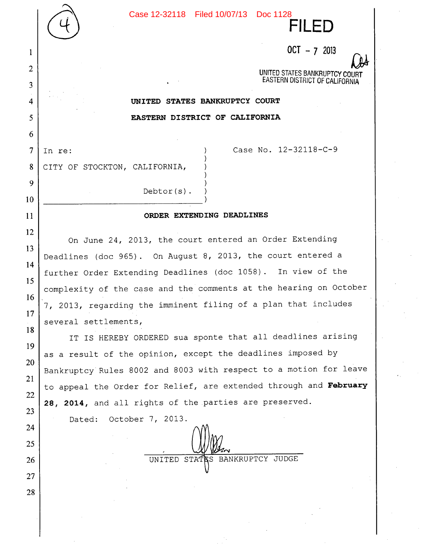Case 12-32118 Filed 10/07/13 Doc 1128



FILED

*CA*  UNITED STATES BANKRUPTCY COURT EASTERN DISTRICT OF CALIFORNIA

## **UNITED STATES BANKRUPTCY COURT EASTERN DISTRICT OF CALIFORNIA**

In re: (a) Case No. 12-32118-C-9

CITY OF STOCKTON, CALIFORNIA,

 $\mathbf{1}$ 

 $\overline{2}$ 

3

 $\overline{4}$ 

5

6

 $\overline{7}$ 

8

9

10

11

12

13

14

15

16

17

18

19

20

21

22

23

24

25

26

27

28

## **ORDER EXTENDING DEADLINES**

Debtor(s).

On June 24, 2013, the court entered an Order Extending Deadlines (doc 965) . On August 8, 2013, the court entered a further Order Extending Deadlines (doc 1058) . In view of the complexity of the case and the comments at the hearing on October 7, 2013, regarding the imminent filing of a plan that includes several settlements,

IT IS HEREBY ORDERED sua sponte that all deadlines arising as a result of the opinion, except the deadlines imposed by Bankruptcy Rules 8002 and 8003 with respect to a motion for leave to appeal the Order for Relief, are extended through and **February 28, 2014,** and all rights of the parties are preserved.

Dated: October 7, 2013.

UNITED STATES BANKRUPTCY JUDGE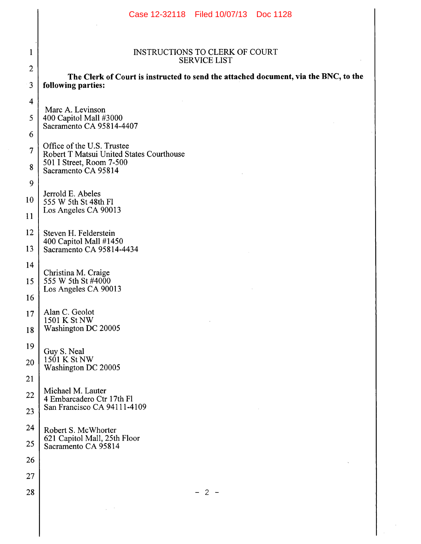|                         | Case 12-32118 Filed 10/07/13 Doc 1128                                               |  |  |  |  |  |  |
|-------------------------|-------------------------------------------------------------------------------------|--|--|--|--|--|--|
|                         |                                                                                     |  |  |  |  |  |  |
| $\mathbf{1}$            | <b>INSTRUCTIONS TO CLERK OF COURT</b><br><b>SERVICE LIST</b>                        |  |  |  |  |  |  |
| $\overline{2}$          | The Clerk of Court is instructed to send the attached document, via the BNC, to the |  |  |  |  |  |  |
| 3                       | following parties:                                                                  |  |  |  |  |  |  |
| $\overline{\mathbf{4}}$ | Marc A. Levinson                                                                    |  |  |  |  |  |  |
| 5                       | 400 Capitol Mall #3000<br>Sacramento CA 95814-4407                                  |  |  |  |  |  |  |
| 6                       | Office of the U.S. Trustee                                                          |  |  |  |  |  |  |
| $\overline{7}$          | Robert T Matsui United States Courthouse<br>501 I Street, Room 7-500                |  |  |  |  |  |  |
| 8                       | Sacramento CA 95814                                                                 |  |  |  |  |  |  |
| 9                       | Jerrold E. Abeles                                                                   |  |  |  |  |  |  |
| 10                      | 555 W 5th St 48th Fl                                                                |  |  |  |  |  |  |
| 11                      | Los Angeles CA 90013                                                                |  |  |  |  |  |  |
| 12                      | Steven H. Felderstein                                                               |  |  |  |  |  |  |
| 13                      | 400 Capitol Mall #1450<br>Sacramento CA 95814-4434                                  |  |  |  |  |  |  |
| 14                      |                                                                                     |  |  |  |  |  |  |
| 15                      | Christina M. Craige<br>555 W 5th St #4000                                           |  |  |  |  |  |  |
| 16                      | Los Angeles CA 90013                                                                |  |  |  |  |  |  |
| 17                      | Alan C. Geolot<br>1501 K St NW                                                      |  |  |  |  |  |  |
| 18                      | Washington DC 20005                                                                 |  |  |  |  |  |  |
| 19                      | Guy S. Neal                                                                         |  |  |  |  |  |  |
| 20                      | 1501 K St NW                                                                        |  |  |  |  |  |  |
| 21                      | Washington DC 20005                                                                 |  |  |  |  |  |  |
| 22                      | Michael M. Lauter                                                                   |  |  |  |  |  |  |
| 23                      | 4 Embarcadero Ctr 17th Fl<br>San Francisco CA 94111-4109                            |  |  |  |  |  |  |
| 24                      |                                                                                     |  |  |  |  |  |  |
| 25                      | Robert S. McWhorter<br>621 Capitol Mall, 25th Floor                                 |  |  |  |  |  |  |
| 26                      | Sacramento CA 95814                                                                 |  |  |  |  |  |  |
| 27                      |                                                                                     |  |  |  |  |  |  |
| 28                      | $-2-$                                                                               |  |  |  |  |  |  |
|                         |                                                                                     |  |  |  |  |  |  |
|                         |                                                                                     |  |  |  |  |  |  |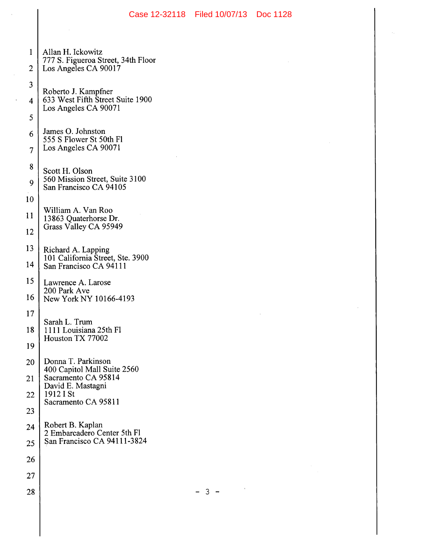| $\mathbf{1}$   | Allan H. Ickowitz                                          |  |  |  |  |
|----------------|------------------------------------------------------------|--|--|--|--|
| $\overline{c}$ | 777 S. Figueroa Street, 34th Floor<br>Los Angeles CA 90017 |  |  |  |  |
| 3              |                                                            |  |  |  |  |
| 4              | Roberto J. Kampfner<br>633 West Fifth Street Suite 1900    |  |  |  |  |
| 5              | Los Angeles CA 90071                                       |  |  |  |  |
| 6              | James O. Johnston<br>555 S Flower St 50th Fl               |  |  |  |  |
| $\overline{7}$ | Los Angeles CA 90071                                       |  |  |  |  |
| 8              | Scott H. Olson                                             |  |  |  |  |
| 9              | 560 Mission Street, Suite 3100<br>San Francisco CA 94105   |  |  |  |  |
| 10             |                                                            |  |  |  |  |
| 11             | William A. Van Roo<br>13863 Quaterhorse Dr.                |  |  |  |  |
| 12             | Grass Valley CA 95949                                      |  |  |  |  |
| 13             | Richard A. Lapping                                         |  |  |  |  |
| 14             | 101 California Street, Ste. 3900<br>San Francisco CA 94111 |  |  |  |  |
| 15             | Lawrence A. Larose                                         |  |  |  |  |
| 16             | 200 Park Ave<br>New York NY 10166-4193                     |  |  |  |  |
| 17             |                                                            |  |  |  |  |
| 18             | Sarah L. Trum<br>1111 Louisiana 25th Fl                    |  |  |  |  |
| 19             | Houston TX 77002                                           |  |  |  |  |
| 20             | Donna T. Parkinson<br>400 Capitol Mall Suite 2560          |  |  |  |  |
| 21             | Sacramento CA 95814<br>David E. Mastagni                   |  |  |  |  |
| 22             | 1912 I St<br>Sacramento CA 95811                           |  |  |  |  |
| 23             |                                                            |  |  |  |  |
| 24             | Robert B. Kaplan<br>2 Embarcadero Center 5th Fl            |  |  |  |  |
| 25             | San Francisco CA 94111-3824                                |  |  |  |  |
| 26             |                                                            |  |  |  |  |
| 27             |                                                            |  |  |  |  |
| 28             |                                                            |  |  |  |  |

 $\sim$